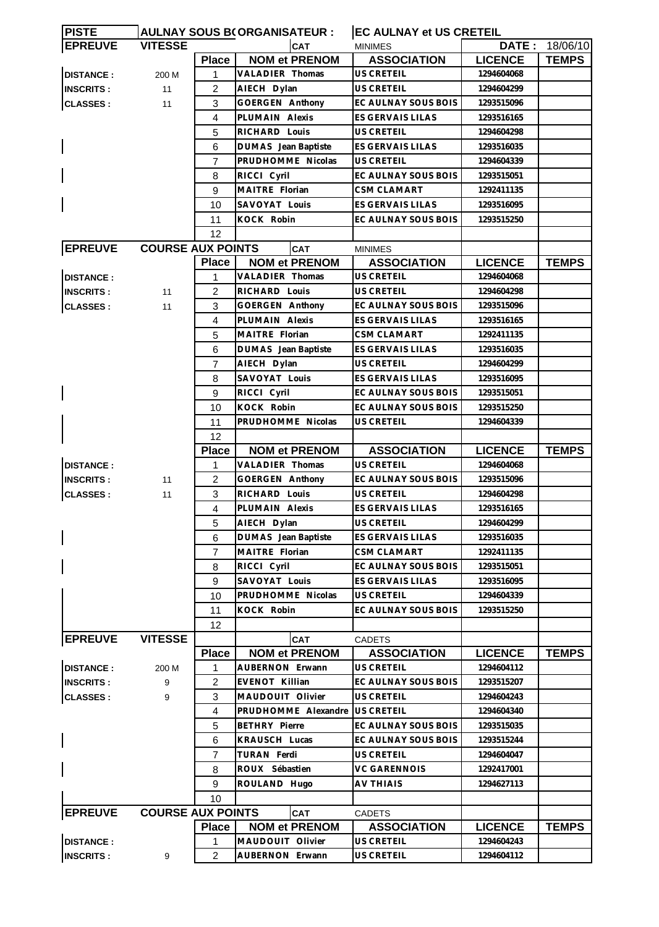| <b>PISTE</b>     | <b>AULNAY SOUS B(ORGANISATEUR:</b> |                   |                                    | <b>EC AULNAY et US CRETEIL</b>   |                          |              |  |
|------------------|------------------------------------|-------------------|------------------------------------|----------------------------------|--------------------------|--------------|--|
| <b>EPREUVE</b>   | <b>VITESSE</b>                     |                   | CAT                                | <b>MINIMES</b>                   | DATE:                    | 18/06/10     |  |
|                  |                                    | <b>Place</b>      | <b>NOM et PRENOM</b>               | <b>ASSOCIATION</b>               | <b>LICENCE</b>           | <b>TEMPS</b> |  |
| <b>DISTANCE:</b> | 200 M                              | 1                 | VALADIER Thomas                    | US CRETEIL                       | 1294604068               |              |  |
| <b>INSCRITS:</b> | 11                                 | $\overline{2}$    | AIECH Dylan                        | <b>US CRETEIL</b>                | 1294604299               |              |  |
| <b>CLASSES:</b>  | 11                                 | 3                 | GOERGEN Anthony                    | EC AULNAY SOUS BOIS              | 1293515096               |              |  |
|                  |                                    | 4                 | PLUMAIN Alexis                     | ES GERVAIS LILAS                 | 1293516165               |              |  |
|                  |                                    | 5                 | RICHARD Louis                      | US CRETEIL                       | 1294604298               |              |  |
|                  |                                    | 6                 | DUMAS Jean Baptiste                | ES GERVAIS LILAS                 | 1293516035               |              |  |
|                  |                                    | $\overline{7}$    | PRUDHOMME Nicolas                  | <b>US CRETEIL</b>                | 1294604339               |              |  |
|                  |                                    | 8                 | RICCI Cyril                        | EC AULNAY SOUS BOIS              | 1293515051               |              |  |
|                  |                                    | 9                 | MAITRE Florian                     | <b>CSM CLAMART</b>               | 1292411135               |              |  |
|                  |                                    | 10                | SAVOYAT Louis                      | <b>ES GERVAIS LILAS</b>          | 1293516095               |              |  |
|                  |                                    | 11                | KOCK Robin                         | EC AULNAY SOUS BOIS              | 1293515250               |              |  |
|                  |                                    | $12 \overline{ }$ |                                    |                                  |                          |              |  |
| <b>EPREUVE</b>   | <b>COURSE AUX POINTS</b>           |                   | <b>CAT</b>                         | <b>MINIMES</b>                   |                          |              |  |
|                  |                                    | <b>Place</b>      | <b>NOM et PRENOM</b>               | <b>ASSOCIATION</b>               | <b>LICENCE</b>           | <b>TEMPS</b> |  |
| <b>DISTANCE:</b> |                                    | 1                 | VALADIER Thomas                    | US CRETEIL                       | 1294604068               |              |  |
| <b>INSCRITS:</b> | 11                                 | 2                 | RICHARD Louis                      | <b>US CRETEIL</b>                | 1294604298               |              |  |
| <b>CLASSES:</b>  | 11                                 | 3                 | <b>GOERGEN Anthony</b>             | EC AULNAY SOUS BOIS              | 1293515096               |              |  |
|                  |                                    | 4                 | PLUMAIN Alexis                     | <b>ES GERVAIS LILAS</b>          | 1293516165               |              |  |
|                  |                                    | 5                 | MAITRE Florian                     | <b>CSM CLAMART</b>               | 1292411135               |              |  |
|                  |                                    | 6                 | DUMAS Jean Baptiste                | ES GERVAIS LILAS                 | 1293516035               |              |  |
|                  |                                    | 7                 | AIECH Dylan                        | US CRETEIL                       | 1294604299               |              |  |
|                  |                                    | 8                 | SAVOYAT Louis                      | ES GERVAIS LILAS                 | 1293516095               |              |  |
|                  |                                    | 9                 | RICCI Cyril                        | EC AULNAY SOUS BOIS              | 1293515051               |              |  |
|                  |                                    | 10                | KOCK Robin                         | EC AULNAY SOUS BOIS              | 1293515250               |              |  |
|                  |                                    | 11                | PRUDHOMME Nicolas                  | US CRETEIL                       | 1294604339               |              |  |
|                  |                                    | 12                |                                    |                                  |                          |              |  |
|                  |                                    | <b>Place</b>      | <b>NOM et PRENOM</b>               | <b>ASSOCIATION</b>               | <b>LICENCE</b>           | <b>TEMPS</b> |  |
| <b>DISTANCE:</b> |                                    | 1                 | VALADIER Thomas                    | <b>US CRETEIL</b>                | 1294604068               |              |  |
| <b>INSCRITS:</b> | 11                                 | $\overline{c}$    | GOERGEN Anthony                    | EC AULNAY SOUS BOIS              | 1293515096               |              |  |
| <b>CLASSES:</b>  | 11                                 | 3                 | RICHARD Louis                      | <b>US CRETEIL</b>                | 1294604298               |              |  |
|                  |                                    | 4                 | PLUMAIN Alexis                     | <b>ES GERVAIS LILAS</b>          | 1293516165               |              |  |
|                  |                                    |                   |                                    | US CRETEIL                       |                          |              |  |
|                  |                                    | 5<br>6            | AIECH Dylan<br>DUMAS Jean Baptiste | ES GERVAIS LILAS                 | 1294604299<br>1293516035 |              |  |
|                  |                                    | 7                 | MAITRE Florian                     | <b>CSM CLAMART</b>               | 1292411135               |              |  |
|                  |                                    | 8                 | RICCI Cyril                        | EC AULNAY SOUS BOIS              | 1293515051               |              |  |
|                  |                                    | 9                 | SAVOYAT Louis                      | ES GERVAIS LILAS                 | 1293516095               |              |  |
|                  |                                    |                   |                                    |                                  |                          |              |  |
|                  |                                    | 10                | PRUDHOMME Nicolas                  | US CRETEIL                       | 1294604339<br>1293515250 |              |  |
|                  |                                    | 11                | KOCK Robin                         | EC AULNAY SOUS BOIS              |                          |              |  |
|                  |                                    | 12                |                                    |                                  |                          |              |  |
| <b>EPREUVE</b>   | <b>VITESSE</b>                     |                   | CAT                                | <b>CADETS</b>                    |                          |              |  |
|                  |                                    | <b>Place</b>      | <b>NOM et PRENOM</b>               | <b>ASSOCIATION</b><br>US CRETEIL | <b>LICENCE</b>           | <b>TEMPS</b> |  |
| <b>DISTANCE:</b> | 200 M                              | 1                 | AUBERNON Erwann                    |                                  | 1294604112               |              |  |
| <b>INSCRITS:</b> | 9                                  | 2                 | EVENOT Killian                     | EC AULNAY SOUS BOIS              | 1293515207               |              |  |
| <b>CLASSES:</b>  | 9                                  | 3                 | MAUDOUIT Olivier                   | US CRETEIL                       | 1294604243               |              |  |
|                  |                                    | 4                 | PRUDHOMME Alexandre                | <b>US CRETEIL</b>                | 1294604340               |              |  |
|                  |                                    | 5                 | <b>BETHRY Pierre</b>               | EC AULNAY SOUS BOIS              | 1293515035               |              |  |
|                  |                                    | 6                 | KRAUSCH Lucas                      | EC AULNAY SOUS BOIS              | 1293515244               |              |  |
|                  |                                    | $\overline{7}$    | TURAN Ferdi                        | US CRETEIL                       | 1294604047               |              |  |
|                  |                                    | 8                 | ROUX Sébastien                     | <b>VC GARENNOIS</b>              | 1292417001               |              |  |
|                  |                                    | 9                 | ROULAND Hugo                       | <b>AV THIAIS</b>                 | 1294627113               |              |  |
|                  |                                    | 10                |                                    |                                  |                          |              |  |
| <b>EPREUVE</b>   | <b>COURSE AUX POINTS</b>           |                   | CAT                                | <b>CADETS</b>                    |                          |              |  |
|                  |                                    | <b>Place</b>      | <b>NOM et PRENOM</b>               | <b>ASSOCIATION</b>               | <b>LICENCE</b>           | <b>TEMPS</b> |  |
| <b>DISTANCE:</b> |                                    | 1                 | MAUDOUIT Olivier                   | <b>US CRETEIL</b>                | 1294604243               |              |  |
| <b>INSCRITS:</b> | 9                                  | $\overline{2}$    | AUBERNON Erwann                    | US CRETEIL                       | 1294604112               |              |  |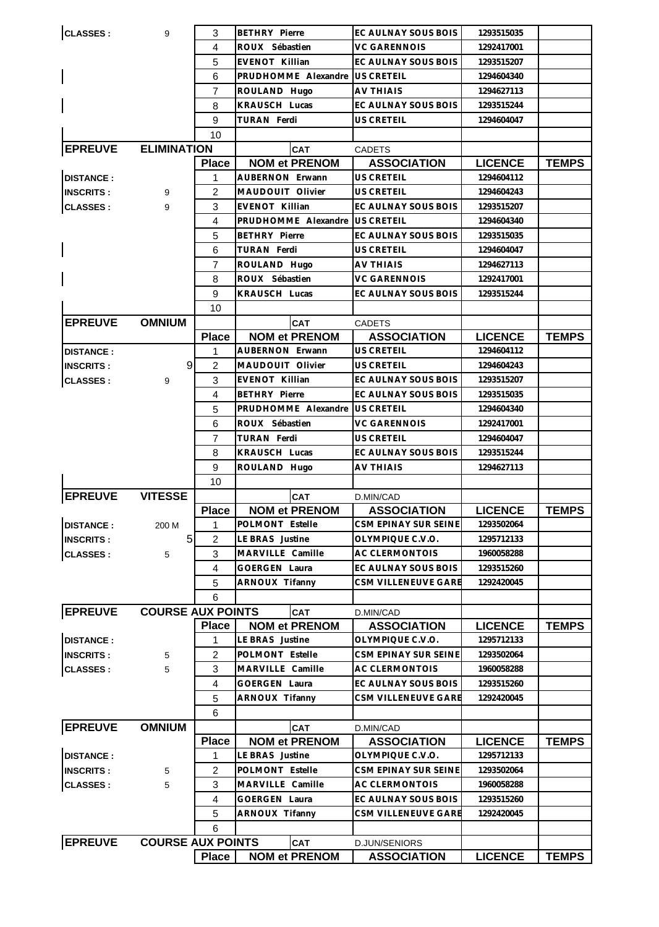| <b>CLASSES:</b>  | 9                        | 3              | <b>BETHRY Pierre</b>        | EC AULNAY SOUS BOIS                 | 1293515035     |              |
|------------------|--------------------------|----------------|-----------------------------|-------------------------------------|----------------|--------------|
|                  |                          | 4              | ROUX Sébastien              | <b>VC GARENNOIS</b>                 | 1292417001     |              |
|                  |                          | 5              | <b>EVENOT Killian</b>       | EC AULNAY SOUS BOIS                 | 1293515207     |              |
|                  |                          | 6              | PRUDHOMME Alexandre         | <b>US CRETEIL</b>                   | 1294604340     |              |
|                  |                          | 7              | ROULAND Hugo                | <b>AV THIAIS</b>                    | 1294627113     |              |
|                  |                          | 8              | KRAUSCH Lucas               | EC AULNAY SOUS BOIS                 | 1293515244     |              |
|                  |                          | 9              | TURAN Ferdi                 | US CRETEIL                          | 1294604047     |              |
|                  |                          | 10             |                             |                                     |                |              |
| <b>EPREUVE</b>   | <b>ELIMINATION</b>       |                | CAT                         | <b>CADETS</b>                       |                |              |
|                  |                          | <b>Place</b>   | <b>NOM et PRENOM</b>        | <b>ASSOCIATION</b>                  | <b>LICENCE</b> | <b>TEMPS</b> |
| <b>DISTANCE:</b> |                          | 1              | AUBERNON Erwann             | US CRETEIL                          | 1294604112     |              |
| <b>INSCRITS:</b> | 9                        | 2              | MAUDOUIT Olivier            | <b>US CRETEIL</b>                   | 1294604243     |              |
| <b>CLASSES:</b>  | 9                        | 3              | EVENOT Killian              | EC AULNAY SOUS BOIS                 | 1293515207     |              |
|                  |                          | 4              | PRUDHOMME Alexandre         | <b>US CRETEIL</b>                   | 1294604340     |              |
|                  |                          | 5              | <b>BETHRY Pierre</b>        | EC AULNAY SOUS BOIS                 | 1293515035     |              |
|                  |                          | 6              | TURAN Ferdi                 | US CRETEIL                          | 1294604047     |              |
|                  |                          | 7              | ROULAND Hugo                | AV THIAIS                           | 1294627113     |              |
|                  |                          | 8              | ROUX Sébastien              | <b>VC GARENNOIS</b>                 | 1292417001     |              |
|                  |                          | 9              | KRAUSCH Lucas               | EC AULNAY SOUS BOIS                 | 1293515244     |              |
|                  |                          | 10             |                             |                                     |                |              |
| <b>EPREUVE</b>   | <b>OMNIUM</b>            |                | <b>CAT</b>                  | <b>CADETS</b>                       |                |              |
|                  |                          | <b>Place</b>   | <b>NOM et PRENOM</b>        | <b>ASSOCIATION</b>                  | <b>LICENCE</b> | <b>TEMPS</b> |
| <b>DISTANCE:</b> |                          | 1              | <b>AUBERNON Erwann</b>      | US CRETEIL                          | 1294604112     |              |
| <b>INSCRITS:</b> | 9                        | 2              | MAUDOUIT Olivier            | US CRETEIL                          | 1294604243     |              |
| <b>CLASSES:</b>  | 9                        | 3              | EVENOT Killian              | EC AULNAY SOUS BOIS                 | 1293515207     |              |
|                  |                          | 4              | <b>BETHRY Pierre</b>        | EC AULNAY SOUS BOIS                 | 1293515035     |              |
|                  |                          | 5              | PRUDHOMME Alexandre         | <b>US CRETEIL</b>                   | 1294604340     |              |
|                  |                          | 6              | ROUX Sébastien              | VC GARENNOIS                        | 1292417001     |              |
|                  |                          | 7              | TURAN Ferdi                 | US CRETEIL                          | 1294604047     |              |
|                  |                          | 8              | KRAUSCH Lucas               | EC AULNAY SOUS BOIS                 | 1293515244     |              |
|                  |                          | 9              | ROULAND Hugo                | <b>AV THIAIS</b>                    | 1294627113     |              |
|                  |                          | 10             |                             |                                     |                |              |
| <b>EPREUVE</b>   | <b>VITESSE</b>           |                | <b>CAT</b>                  | D.MIN/CAD                           |                |              |
|                  |                          | <b>Place</b>   | <b>NOM et PRENOM</b>        | <b>ASSOCIATION</b>                  | <b>LICENCE</b> | <b>TEMPS</b> |
| <b>DISTANCE:</b> | 200 M                    | 1              | POLMONT Estelle             | CSM EPINAY SUR SEINE                | 1293502064     |              |
| <b>INSCRITS:</b> | 5                        | 2              | LE BRAS Justine             | OLYMPIQUE C.V.O.                    | 1295712133     |              |
| <b>CLASSES:</b>  | 5                        | 3              | MARVILLE Camille            | <b>AC CLERMONTOIS</b>               | 1960058288     |              |
|                  |                          | 4              | <b>GOERGEN Laura</b>        | EC AULNAY SOUS BOIS                 | 1293515260     |              |
|                  |                          | 5              | ARNOUX Tifanny              | CSM VILLENEUVE GARE                 | 1292420045     |              |
|                  |                          | 6              |                             |                                     |                |              |
| <b>EPREUVE</b>   | <b>COURSE AUX POINTS</b> |                | <b>CAT</b>                  | D.MIN/CAD                           |                |              |
|                  |                          | <b>Place</b>   | <b>NOM et PRENOM</b>        | <b>ASSOCIATION</b>                  | <b>LICENCE</b> | <b>TEMPS</b> |
| <b>DISTANCE:</b> |                          | 1              | LE BRAS Justine             | OLYMPIQUE C.V.O.                    | 1295712133     |              |
| <b>INSCRITS:</b> | 5                        | 2              | POLMONT Estelle             | CSM EPINAY SUR SEINE                | 1293502064     |              |
| <b>CLASSES:</b>  | 5                        | 3              | MARVILLE Camille            | AC CLERMONTOIS                      | 1960058288     |              |
|                  |                          | $\overline{4}$ | GOERGEN Laura               | EC AULNAY SOUS BOIS                 | 1293515260     |              |
|                  |                          | 5              | ARNOUX Tifanny              | <b>CSM VILLENEUVE GARE</b>          | 1292420045     |              |
|                  |                          | 6              |                             |                                     |                |              |
| <b>EPREUVE</b>   | <b>OMNIUM</b>            |                | <b>CAT</b>                  | D.MIN/CAD                           |                |              |
|                  |                          | <b>Place</b>   | <b>NOM et PRENOM</b>        | <b>ASSOCIATION</b>                  | <b>LICENCE</b> | <b>TEMPS</b> |
| <b>DISTANCE:</b> |                          | 1              | LE BRAS Justine             | OLYMPIQUE C.V.O.                    | 1295712133     |              |
| <b>INSCRITS:</b> |                          | 2              | POLMONT Estelle             | CSM EPINAY SUR SEINE                | 1293502064     |              |
| <b>CLASSES:</b>  | 5<br>5                   | 3              | MARVILLE Camille            | AC CLERMONTOIS                      | 1960058288     |              |
|                  |                          | $\overline{4}$ | <b>GOERGEN Laura</b>        | EC AULNAY SOUS BOIS                 | 1293515260     |              |
|                  |                          | 5              | ARNOUX Tifanny              | CSM VILLENEUVE GARE                 | 1292420045     |              |
|                  |                          |                |                             |                                     |                |              |
|                  |                          |                |                             |                                     |                |              |
|                  |                          | 6              |                             |                                     |                |              |
| <b>EPREUVE</b>   | <b>COURSE AUX POINTS</b> | <b>Place</b>   | CAT<br><b>NOM et PRENOM</b> | D.JUN/SENIORS<br><b>ASSOCIATION</b> | <b>LICENCE</b> | <b>TEMPS</b> |